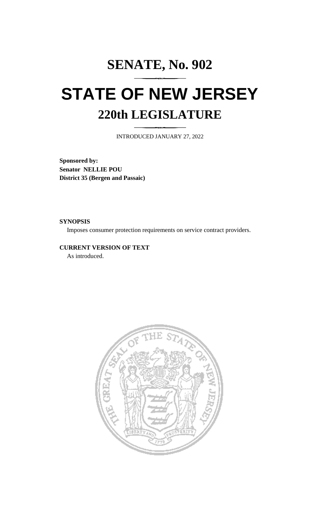# **SENATE, No. 902 STATE OF NEW JERSEY 220th LEGISLATURE**

INTRODUCED JANUARY 27, 2022

**Sponsored by: Senator NELLIE POU District 35 (Bergen and Passaic)**

**SYNOPSIS**

Imposes consumer protection requirements on service contract providers.

**CURRENT VERSION OF TEXT**  As introduced.

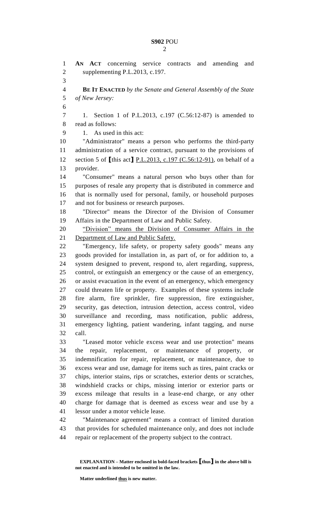**AN ACT** concerning service contracts and amending and supplementing P.L.2013, c.197. **BE IT ENACTED** *by the Senate and General Assembly of the State of New Jersey:* 1. Section 1 of P.L.2013, c.197 (C.56:12-87) is amended to read as follows: 1. As used in this act: "Administrator" means a person who performs the third-party administration of a service contract, pursuant to the provisions of section 5 of **[**this act**]** P.L.2013, c.197 (C.56:12-91), on behalf of a provider. "Consumer" means a natural person who buys other than for purposes of resale any property that is distributed in commerce and that is normally used for personal, family, or household purposes and not for business or research purposes. "Director" means the Director of the Division of Consumer Affairs in the Department of Law and Public Safety. "Division" means the Division of Consumer Affairs in the 21 Department of Law and Public Safety. "Emergency, life safety, or property safety goods" means any goods provided for installation in, as part of, or for addition to, a system designed to prevent, respond to, alert regarding, suppress, control, or extinguish an emergency or the cause of an emergency, or assist evacuation in the event of an emergency, which emergency could threaten life or property. Examples of these systems include fire alarm, fire sprinkler, fire suppression, fire extinguisher, security, gas detection, intrusion detection, access control, video surveillance and recording, mass notification, public address, emergency lighting, patient wandering, infant tagging, and nurse call. "Leased motor vehicle excess wear and use protection" means the repair, replacement, or maintenance of property, or indemnification for repair, replacement, or maintenance, due to excess wear and use, damage for items such as tires, paint cracks or chips, interior stains, rips or scratches, exterior dents or scratches, windshield cracks or chips, missing interior or exterior parts or excess mileage that results in a lease-end charge, or any other charge for damage that is deemed as excess wear and use by a lessor under a motor vehicle lease. "Maintenance agreement" means a contract of limited duration that provides for scheduled maintenance only, and does not include repair or replacement of the property subject to the contract.

**Matter underlined thus is new matter.**

**EXPLANATION – Matter enclosed in bold-faced brackets [thus] in the above bill is not enacted and is intended to be omitted in the law.**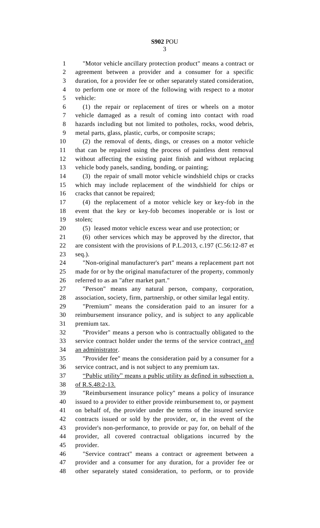"Motor vehicle ancillary protection product" means a contract or agreement between a provider and a consumer for a specific duration, for a provider fee or other separately stated consideration, to perform one or more of the following with respect to a motor vehicle: (1) the repair or replacement of tires or wheels on a motor vehicle damaged as a result of coming into contact with road

 hazards including but not limited to potholes, rocks, wood debris, metal parts, glass, plastic, curbs, or composite scraps;

 (2) the removal of dents, dings, or creases on a motor vehicle that can be repaired using the process of paintless dent removal without affecting the existing paint finish and without replacing vehicle body panels, sanding, bonding, or painting;

 (3) the repair of small motor vehicle windshield chips or cracks which may include replacement of the windshield for chips or cracks that cannot be repaired;

 (4) the replacement of a motor vehicle key or key-fob in the event that the key or key-fob becomes inoperable or is lost or stolen;

(5) leased motor vehicle excess wear and use protection; or

 (6) other services which may be approved by the director, that are consistent with the provisions of P.L.2013, c.197 (C.56:12-87 et seq.).

 "Non-original manufacturer's part" means a replacement part not made for or by the original manufacturer of the property, commonly referred to as an "after market part."

 "Person" means any natural person, company, corporation, association, society, firm, partnership, or other similar legal entity.

 "Premium" means the consideration paid to an insurer for a reimbursement insurance policy, and is subject to any applicable premium tax.

 "Provider" means a person who is contractually obligated to the service contract holder under the terms of the service contract, and an administrator.

 "Provider fee" means the consideration paid by a consumer for a service contract, and is not subject to any premium tax.

 "Public utility" means a public utility as defined in subsection a. of R.S.48:2-13.

 "Reimbursement insurance policy" means a policy of insurance issued to a provider to either provide reimbursement to, or payment on behalf of, the provider under the terms of the insured service contracts issued or sold by the provider, or, in the event of the provider's non-performance, to provide or pay for, on behalf of the provider, all covered contractual obligations incurred by the provider.

 "Service contract" means a contract or agreement between a provider and a consumer for any duration, for a provider fee or other separately stated consideration, to perform, or to provide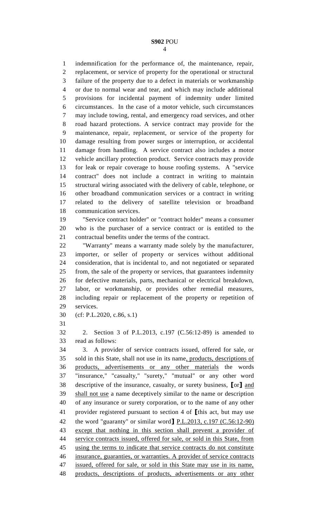indemnification for the performance of, the maintenance, repair, replacement, or service of property for the operational or structural failure of the property due to a defect in materials or workmanship or due to normal wear and tear, and which may include additional provisions for incidental payment of indemnity under limited circumstances. In the case of a motor vehicle, such circumstances may include towing, rental, and emergency road services, and other road hazard protections. A service contract may provide for the maintenance, repair, replacement, or service of the property for damage resulting from power surges or interruption, or accidental damage from handling. A service contract also includes a motor vehicle ancillary protection product. Service contracts may provide for leak or repair coverage to house roofing systems. A "service contract" does not include a contract in writing to maintain structural wiring associated with the delivery of cable, telephone, or other broadband communication services or a contract in writing related to the delivery of satellite television or broadband communication services.

 "Service contract holder" or "contract holder" means a consumer who is the purchaser of a service contract or is entitled to the contractual benefits under the terms of the contract.

 "Warranty" means a warranty made solely by the manufacturer, importer, or seller of property or services without additional consideration, that is incidental to, and not negotiated or separated from, the sale of the property or services, that guarantees indemnity for defective materials, parts, mechanical or electrical breakdown, labor, or workmanship, or provides other remedial measures, including repair or replacement of the property or repetition of services.

(cf: P.L.2020, c.86, s.1)

 2. Section 3 of P.L.2013, c.197 (C.56:12-89) is amended to read as follows:

 3. A provider of service contracts issued, offered for sale, or sold in this State, shall not use in its name, products, descriptions of products, advertisements or any other materials the words "insurance," "casualty," "surety," "mutual" or any other word descriptive of the insurance, casualty, or surety business, **[**or**]** and shall not use a name deceptively similar to the name or description of any insurance or surety corporation, or to the name of any other provider registered pursuant to section 4 of **[**this act, but may use the word "guaranty" or similar word**]** P.L.2013, c.197 (C.56:12-90) except that nothing in this section shall prevent a provider of service contracts issued, offered for sale, or sold in this State, from using the terms to indicate that service contracts do not constitute insurance, guaranties, or warranties. A provider of service contracts issued, offered for sale, or sold in this State may use in its name, products, descriptions of products, advertisements or any other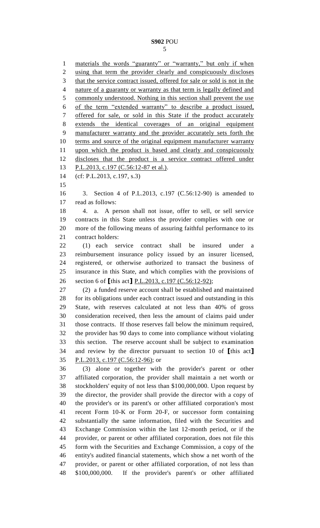1 materials the words "guaranty" or "warranty," but only if when using that term the provider clearly and conspicuously discloses that the service contract issued, offered for sale or sold is not in the 4 nature of a guaranty or warranty as that term is legally defined and commonly understood. Nothing in this section shall prevent the use of the term "extended warranty" to describe a product issued, offered for sale, or sold in this State if the product accurately extends the identical coverages of an original equipment manufacturer warranty and the provider accurately sets forth the terms and source of the original equipment manufacturer warranty upon which the product is based and clearly and conspicuously discloses that the product is a service contract offered under 13 P.L.2013, c.197 (C.56:12-87 et al.). (cf: P.L.2013, c.197, s.3) 3. Section 4 of P.L.2013, c.197 (C.56:12-90) is amended to read as follows: 4. a. A person shall not issue, offer to sell, or sell service contracts in this State unless the provider complies with one or more of the following means of assuring faithful performance to its contract holders: (1) each service contract shall be insured under a reimbursement insurance policy issued by an insurer licensed, registered, or otherwise authorized to transact the business of insurance in this State, and which complies with the provisions of section 6 of **[**this act**]** P.L.2013, c.197 (C.56:12-92); (2) a funded reserve account shall be established and maintained for its obligations under each contract issued and outstanding in this State, with reserves calculated at not less than 40% of gross consideration received, then less the amount of claims paid under those contracts. If those reserves fall below the minimum required, the provider has 90 days to come into compliance without violating this section. The reserve account shall be subject to examination and review by the director pursuant to section 10 of **[**this act**]** P.L.2013, c.197 (C.56:12-96); or (3) alone or together with the provider's parent or other affiliated corporation, the provider shall maintain a net worth or stockholders' equity of not less than \$100,000,000. Upon request by the director, the provider shall provide the director with a copy of the provider's or its parent's or other affiliated corporation's most recent Form 10-K or Form 20-F, or successor form containing substantially the same information, filed with the Securities and Exchange Commission within the last 12-month period, or if the provider, or parent or other affiliated corporation, does not file this form with the Securities and Exchange Commission, a copy of the entity's audited financial statements, which show a net worth of the provider, or parent or other affiliated corporation, of not less than \$100,000,000. If the provider's parent's or other affiliated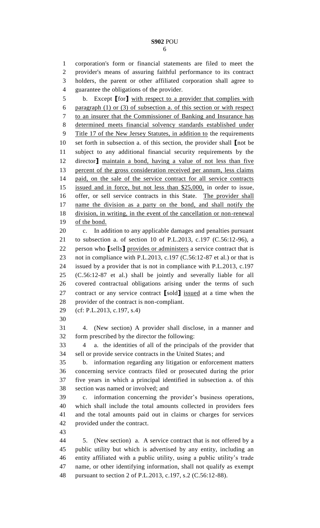corporation's form or financial statements are filed to meet the provider's means of assuring faithful performance to its contract holders, the parent or other affiliated corporation shall agree to guarantee the obligations of the provider.

 b. Except **[**for**]** with respect to a provider that complies with paragraph (1) or (3) of subsection a. of this section or with respect to an insurer that the Commissioner of Banking and Insurance has determined meets financial solvency standards established under Title 17 of the New Jersey Statutes, in addition to the requirements set forth in subsection a. of this section, the provider shall **[**not be subject to any additional financial security requirements by the director**]** maintain a bond, having a value of not less than five percent of the gross consideration received per annum, less claims paid, on the sale of the service contract for all service contracts issued and in force, but not less than \$25,000, in order to issue, offer, or sell service contracts in this State. The provider shall name the division as a party on the bond, and shall notify the division, in writing, in the event of the cancellation or non-renewal of the bond.

 c. In addition to any applicable damages and penalties pursuant to subsection a. of section 10 of P.L.2013, c.197 (C.56:12-96), a person who **[**sells**]** provides or administers a service contract that is not in compliance with P.L.2013, c.197 (C.56:12-87 et al.) or that is issued by a provider that is not in compliance with P.L.2013, c.197 (C.56:12-87 et al.) shall be jointly and severally liable for all covered contractual obligations arising under the terms of such contract or any service contract **[**sold**]** issued at a time when the provider of the contract is non-compliant.

(cf: P.L.2013, c.197, s.4)

 4. (New section) A provider shall disclose, in a manner and form prescribed by the director the following:

 4 a. the identities of all of the principals of the provider that sell or provide service contracts in the United States; and

 b. information regarding any litigation or enforcement matters concerning service contracts filed or prosecuted during the prior five years in which a principal identified in subsection a. of this section was named or involved; and

 c. information concerning the provider's business operations, which shall include the total amounts collected in providers fees and the total amounts paid out in claims or charges for services provided under the contract.

 5. (New section) a. A service contract that is not offered by a public utility but which is advertised by any entity, including an entity affiliated with a public utility, using a public utility's trade name, or other identifying information, shall not qualify as exempt pursuant to section 2 of P.L.2013, c.197, s.2 (C.56:12-88).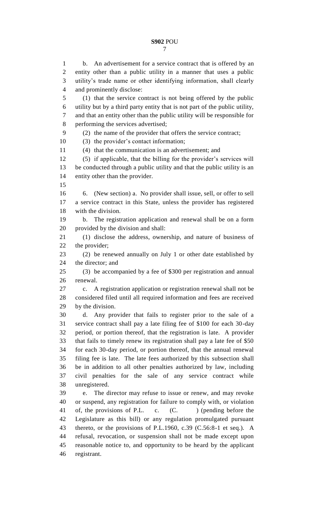entity other than a public utility in a manner that uses a public utility's trade name or other identifying information, shall clearly and prominently disclose: (1) that the service contract is not being offered by the public utility but by a third party entity that is not part of the public utility, and that an entity other than the public utility will be responsible for performing the services advertised; (2) the name of the provider that offers the service contract; (3) the provider's contact information; (4) that the communication is an advertisement; and (5) if applicable, that the billing for the provider's services will be conducted through a public utility and that the public utility is an entity other than the provider. 6. (New section) a. No provider shall issue, sell, or offer to sell a service contract in this State, unless the provider has registered with the division. b. The registration application and renewal shall be on a form provided by the division and shall: (1) disclose the address, ownership, and nature of business of the provider; (2) be renewed annually on July 1 or other date established by the director; and (3) be accompanied by a fee of \$300 per registration and annual renewal.

 c. A registration application or registration renewal shall not be considered filed until all required information and fees are received by the division.

 d. Any provider that fails to register prior to the sale of a service contract shall pay a late filing fee of \$100 for each 30-day period, or portion thereof, that the registration is late. A provider that fails to timely renew its registration shall pay a late fee of \$50 for each 30-day period, or portion thereof, that the annual renewal filing fee is late. The late fees authorized by this subsection shall be in addition to all other penalties authorized by law, including civil penalties for the sale of any service contract while unregistered.

 e. The director may refuse to issue or renew, and may revoke or suspend, any registration for failure to comply with, or violation 41 of, the provisions of P.L. c. (C. ) (pending before the Legislature as this bill) or any regulation promulgated pursuant thereto, or the provisions of P.L.1960, c.39 (C.56:8-1 et seq.). A refusal, revocation, or suspension shall not be made except upon reasonable notice to, and opportunity to be heard by the applicant registrant.

b. An advertisement for a service contract that is offered by an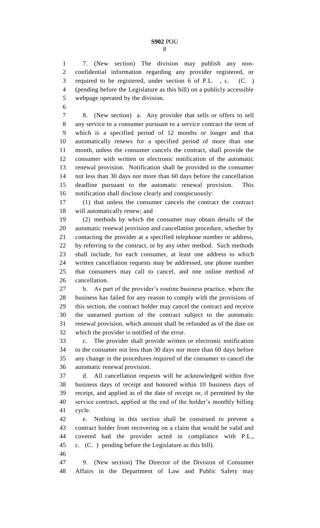7. (New section) The division may publish any non- confidential information regarding any provider registered, or required to be registered, under section 6 of P.L. , c. (C. ) (pending before the Legislature as this bill) on a publicly accessible webpage operated by the division.

 8. (New section) a. Any provider that sells or offers to sell any service to a consumer pursuant to a service contract the term of which is a specified period of 12 months or longer and that automatically renews for a specified period of more than one month, unless the consumer cancels the contract, shall provide the consumer with written or electronic notification of the automatic renewal provision. Notification shall be provided to the consumer not less than 30 days nor more than 60 days before the cancellation deadline pursuant to the automatic renewal provision. This notification shall disclose clearly and conspicuously:

 (1) that unless the consumer cancels the contract the contract will automatically renew; and

 (2) methods by which the consumer may obtain details of the automatic renewal provision and cancellation procedure, whether by contacting the provider at a specified telephone number or address, by referring to the contract, or by any other method. Such methods shall include, for each consumer, at least one address to which written cancellation requests may be addressed, one phone number that consumers may call to cancel, and one online method of cancellation.

 b. As part of the provider's routine business practice, where the business has failed for any reason to comply with the provisions of this section, the contract holder may cancel the contract and receive the unearned portion of the contract subject to the automatic renewal provision, which amount shall be refunded as of the date on which the provider is notified of the error.

 c. The provider shall provide written or electronic notification to the consumer not less than 30 days nor more than 60 days before any change in the procedures required of the consumer to cancel the automatic renewal provision.

 d. All cancellation requests will be acknowledged within five business days of receipt and honored within 10 business days of receipt, and applied as of the date of receipt or, if permitted by the service contract, applied at the end of the holder's monthly billing cycle.

 e. Nothing in this section shall be construed to prevent a contract holder from recovering on a claim that would be valid and covered had the provider acted in compliance with P.L., c. (C. ) pending before the Legislature as this bill).

 9. (New section) The Director of the Division of Consumer Affairs in the Department of Law and Public Safety may